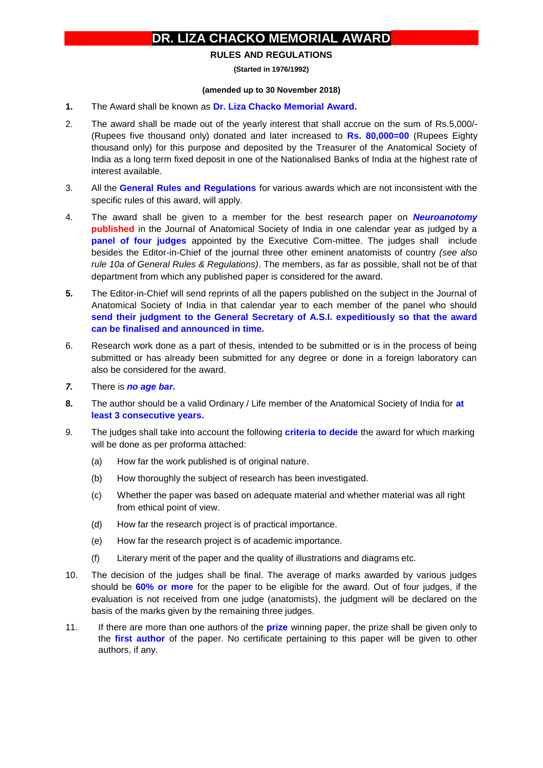## **DR. LlZA CHACKO MEMORIAL AWARD**

## **RULES AND REGULATIONS**

**(Started in 1976/1992)**

## **(amended up to 30 November 2018)**

- **1.** The Award shall be known as **Dr. Liza Chacko Memorial Award.**
- 2. The award shall be made out of the yearly interest that shall accrue on the sum of Rs.5,000/- (Rupees five thousand only) donated and later increased to **Rs. 80,000=00** (Rupees Eighty thousand only) for this purpose and deposited by the Treasurer of the Anatomical Society of India as a long term fixed deposit in one of the Nationalised Banks of India at the highest rate of interest available.
- 3. All the **General Rules and Regulations** for various awards which are not inconsistent with the specific rules of this award, will apply.
- 4. The award shall be given to a member for the best research paper on *Neuroanotomy* **published** in the Journal of Anatomical Society of India in one calendar year as judged by a **panel of four judges** appointed by the Executive Com-mittee. The judges shall include besides the Editor-in-Chief of the journal three other eminent anatomists of country *(see also rule 10a of General Rules & Regulations)*. The members, as far as possible, shall not be of that department from which any published paper is considered for the award.
- **5.** The Editor-in-Chief will send reprints of all the papers published on the subject in the Journal of Anatomical Society of India in that calendar year to each member of the panel who should **send their judgment to the General Secretary of A.S.I. expeditiously so that the award can be finalised and announced in time.**
- 6. Research work done as a part of thesis, intended to be submitted or is in the process of being submitted or has already been submitted for any degree or done in a foreign laboratory can also be considered for the award.
- *7.* There is *no age bar.*
- **8.** The author should be a valid Ordinary / Life member of the Anatomical Society of India for **at least 3 consecutive years.**
- 9. The judges shall take into account the following **criteria to decide** the award for which marking will be done as per proforma attached:
	- (a) How far the work published is of original nature.
	- (b) How thoroughly the subject of research has been investigated.
	- (c) Whether the paper was based on adequate material and whether material was all right from ethical point of view.
	- (d) How far the research project is of practical importance.
	- (e) How far the research project is of academic importance.
	- (f) Literary merit of the paper and the quality of illustrations and diagrams etc.
- 10. The decision of the judges shall be final. The average of marks awarded by various judges should be **60% or more** for the paper to be eligible for the award. Out of four judges, if the evaluation is not received from one judge (anatomists), the judgment will be declared on the basis of the marks given by the remaining three judges.
- 11. If there are more than one authors of the **prize** winning paper, the prize shall be given only to the **first author** of the paper. No certificate pertaining to this paper will be given to other authors, if any.